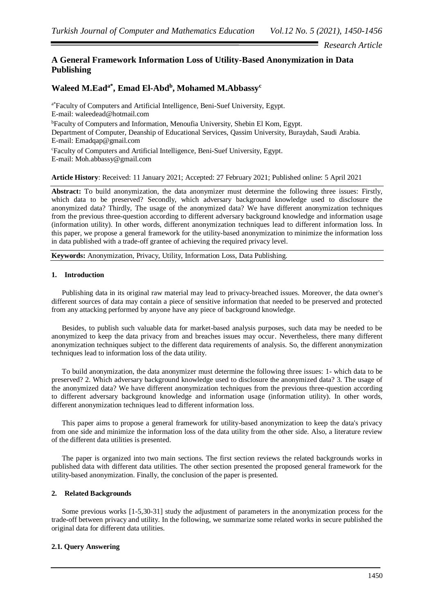## *Research Article*

# **A General Framework Information Loss of Utility-Based Anonymization in Data Publishing**

# **Waleed M.Eada\* , Emad El-Abd<sup>b</sup> , Mohamed M.Abbassy<sup>c</sup>**

a\*Faculty of Computers and Artificial Intelligence, Beni-Suef University, Egypt. E-mail: waleedead@hotmail.com <sup>b</sup>Faculty of Computers and Information, Menoufia University, Shebin El Kom, Egypt. Department of Computer, Deanship of Educational Services, Qassim University, Buraydah, Saudi Arabia. E-mail: Emadqap@gmail.com <sup>c</sup>Faculty of Computers and Artificial Intelligence, Beni-Suef University, Egypt. E-mail: Moh.abbassy@gmail.com

**Article History**: Received: 11 January 2021; Accepted: 27 February 2021; Published online: 5 April 2021

**Abstract:** To build anonymization, the data anonymizer must determine the following three issues: Firstly, which data to be preserved? Secondly, which adversary background knowledge used to disclosure the anonymized data? Thirdly, The usage of the anonymized data? We have different anonymization techniques from the previous three-question according to different adversary background knowledge and information usage (information utility). In other words, different anonymization techniques lead to different information loss. In this paper, we propose a general framework for the utility-based anonymization to minimize the information loss in data published with a trade-off grantee of achieving the required privacy level.

**Keywords:** Anonymization, Privacy, Utility, Information Loss, Data Publishing.

## **1. Introduction**

Publishing data in its original raw material may lead to privacy-breached issues. Moreover, the data owner's different sources of data may contain a piece of sensitive information that needed to be preserved and protected from any attacking performed by anyone have any piece of background knowledge.

Besides, to publish such valuable data for market-based analysis purposes, such data may be needed to be anonymized to keep the data privacy from and breaches issues may occur. Nevertheless, there many different anonymization techniques subject to the different data requirements of analysis. So, the different anonymization techniques lead to information loss of the data utility.

To build anonymization, the data anonymizer must determine the following three issues: 1- which data to be preserved? 2. Which adversary background knowledge used to disclosure the anonymized data? 3. The usage of the anonymized data? We have different anonymization techniques from the previous three-question according to different adversary background knowledge and information usage (information utility). In other words, different anonymization techniques lead to different information loss.

This paper aims to propose a general framework for utility-based anonymization to keep the data's privacy from one side and minimize the information loss of the data utility from the other side. Also, a literature review of the different data utilities is presented.

The paper is organized into two main sections. The first section reviews the related backgrounds works in published data with different data utilities. The other section presented the proposed general framework for the utility-based anonymization. Finally, the conclusion of the paper is presented.

#### **2. Related Backgrounds**

Some previous works [1-5,30-31] study the adjustment of parameters in the anonymization process for the trade-off between privacy and utility. In the following, we summarize some related works in secure published the original data for different data utilities.

## **2.1. Query Answering**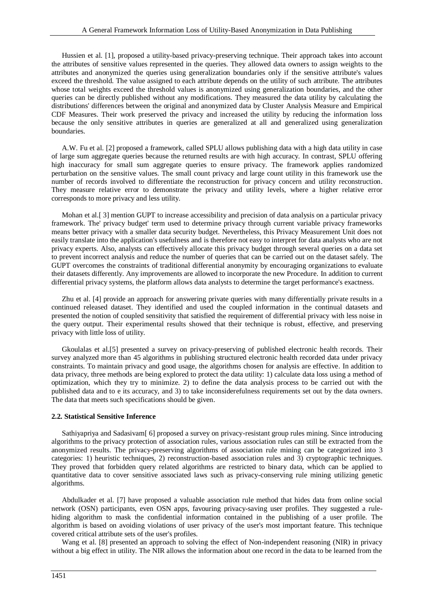Hussien et al. [1], proposed a utility-based privacy-preserving technique. Their approach takes into account the attributes of sensitive values represented in the queries. They allowed data owners to assign weights to the attributes and anonymized the queries using generalization boundaries only if the sensitive attribute's values exceed the threshold. The value assigned to each attribute depends on the utility of such attribute. The attributes whose total weights exceed the threshold values is anonymized using generalization boundaries, and the other queries can be directly published without any modifications. They measured the data utility by calculating the distributions' differences between the original and anonymized data by Cluster Analysis Measure and Empirical CDF Measures. Their work preserved the privacy and increased the utility by reducing the information loss because the only sensitive attributes in queries are generalized at all and generalized using generalization boundaries.

A.W. Fu et al. [2] proposed a framework, called SPLU allows publishing data with a high data utility in case of large sum aggregate queries because the returned results are with high accuracy. In contrast, SPLU offering high inaccuracy for small sum aggregate queries to ensure privacy. The framework applies randomized perturbation on the sensitive values. The small count privacy and large count utility in this framework use the number of records involved to differentiate the reconstruction for privacy concern and utility reconstruction. They measure relative error to demonstrate the privacy and utility levels, where a higher relative error corresponds to more privacy and less utility.

Mohan et al.[ 3] mention GUPT to increase accessibility and precision of data analysis on a particular privacy framework. The' privacy budget' term used to determine privacy through current variable privacy frameworks means better privacy with a smaller data security budget. Nevertheless, this Privacy Measurement Unit does not easily translate into the application's usefulness and is therefore not easy to interpret for data analysts who are not privacy experts. Also, analysts can effectively allocate this privacy budget through several queries on a data set to prevent incorrect analysis and reduce the number of queries that can be carried out on the dataset safely. The GUPT overcomes the constraints of traditional differential anonymity by encouraging organizations to evaluate their datasets differently. Any improvements are allowed to incorporate the new Procedure. In addition to current differential privacy systems, the platform allows data analysts to determine the target performance's exactness.

Zhu et al. [4] provide an approach for answering private queries with many differentially private results in a continued released dataset. They identified and used the coupled information in the continual datasets and presented the notion of coupled sensitivity that satisfied the requirement of differential privacy with less noise in the query output. Their experimental results showed that their technique is robust, effective, and preserving privacy with little loss of utility.

Gkoulalas et al.[5] presented a survey on privacy-preserving of published electronic health records. Their survey analyzed more than 45 algorithms in publishing structured electronic health recorded data under privacy constraints. To maintain privacy and good usage, the algorithms chosen for analysis are effective. In addition to data privacy, three methods are being explored to protect the data utility: 1) calculate data loss using a method of optimization, which they try to minimize. 2) to define the data analysis process to be carried out with the published data and to e its accuracy, and 3) to take inconsiderefulness requirements set out by the data owners. The data that meets such specifications should be given.

#### **2.2. Statistical Sensitive Inference**

Sathiyapriya and Sadasivam[ 6] proposed a survey on privacy-resistant group rules mining. Since introducing algorithms to the privacy protection of association rules, various association rules can still be extracted from the anonymized results. The privacy-preserving algorithms of association rule mining can be categorized into 3 categories: 1) heuristic techniques, 2) reconstruction-based association rules and 3) cryptographic techniques. They proved that forbidden query related algorithms are restricted to binary data, which can be applied to quantitative data to cover sensitive associated laws such as privacy-conserving rule mining utilizing genetic algorithms.

Abdulkader et al. [7] have proposed a valuable association rule method that hides data from online social network (OSN) participants, even OSN apps, favouring privacy-saving user profiles. They suggested a rulehiding algorithm to mask the confidential information contained in the publishing of a user profile. The algorithm is based on avoiding violations of user privacy of the user's most important feature. This technique covered critical attribute sets of the user's profiles.

Wang et al. [8] presented an approach to solving the effect of Non-independent reasoning (NIR) in privacy without a big effect in utility. The NIR allows the information about one record in the data to be learned from the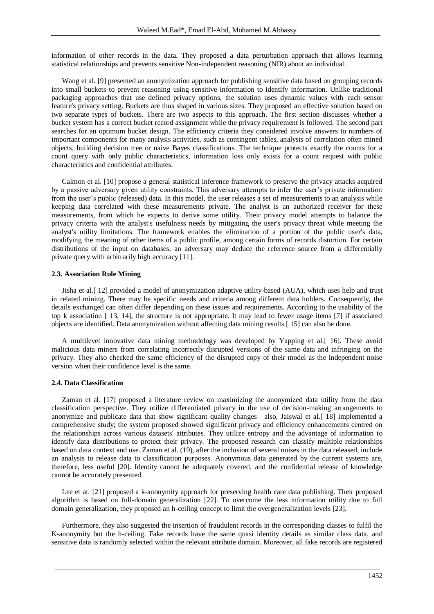information of other records in the data. They proposed a data perturbation approach that allows learning statistical relationships and prevents sensitive Non-independent reasoning (NIR) about an individual.

Wang et al. [9] presented an anonymization approach for publishing sensitive data based on grouping records into small buckets to prevent reasoning using sensitive information to identify information. Unlike traditional packaging approaches that use defined privacy options, the solution uses dynamic values with each sensor feature's privacy setting. Buckets are thus shaped in various sizes. They proposed an effective solution based on two separate types of buckets. There are two aspects to this approach. The first section discusses whether a bucket system has a correct bucket record assignment while the privacy requirement is followed. The second part searches for an optimum bucket design. The efficiency criteria they considered involve answers to numbers of important components for many analysis activities, such as contingent tables, analysis of correlation often mined objects, building decision tree or naive Bayes classifications. The technique protects exactly the counts for a count query with only public characteristics, information loss only exists for a count request with public characteristics and confidential attributes.

Calmon et al. [10] propose a general statistical inference framework to preserve the privacy attacks acquired by a passive adversary given utility constraints. This adversary attempts to infer the user's private information from the user's public (released) data. In this model, the user releases a set of measurements to an analysis while keeping data correlated with these measurements private. The analyst is an authorized receiver for these measurements, from which he expects to derive some utility. Their privacy model attempts to balance the privacy criteria with the analyst's usefulness needs by mitigating the user's privacy threat while meeting the analyst's utility limitations. The framework enables the elimination of a portion of the public user's data, modifying the meaning of other items of a public profile, among certain forms of records distortion. For certain distributions of the input on databases, an adversary may deduce the reference source from a differentially private query with arbitrarily high accuracy [11].

#### **2.3. Association Rule Mining**

Jisha et al.[ 12] provided a model of anonymization adaptive utility-based (AUA), which uses help and trust in related mining. There may be specific needs and criteria among different data holders. Consequently, the details exchanged can often differ depending on these issues and requirements. According to the usability of the top k association [ 13, 14], the structure is not appropriate. It may lead to fewer usage items [7] if associated objects are identified. Data anonymization without affecting data mining results [ 15] can also be done.

A multilevel innovative data mining methodology was developed by Yapping et al.[ 16]. These avoid malicious data miners from correlating incorrectly disrupted versions of the same data and infringing on the privacy. They also checked the same efficiency of the disrupted copy of their model as the independent noise version when their confidence level is the same.

#### **2.4. Data Classification**

Zaman et al. [17] proposed a literature review on maximizing the anonymized data utility from the data classification perspective. They utilize differentiated privacy in the use of decision-making arrangements to anonymize and publicate data that show significant quality changes—also, Jaiswal et al.[ 18] implemented a comprehensive study; the system proposed showed significant privacy and efficiency enhancements centred on the relationships across various datasets' attributes. They utilize entropy and the advantage of information to identify data distributions to protect their privacy. The proposed research can classify multiple relationships based on data context and use. Zaman et al. (19), after the inclusion of several noises in the data released, include an analysis to release data to classification purposes. Anonymous data generated by the current systems are, therefore, less useful [20]. Identity cannot be adequately covered, and the confidential release of knowledge cannot be accurately presented.

Lee et at. [21] proposed a k-anonymity approach for preserving health care data publishing. Their proposed algorithm is based on full-domain generalization [22]. To overcome the less information utility due to full domain generalization, they proposed an h-ceiling concept to limit the overgeneralization levels [23].

Furthermore, they also suggested the insertion of fraudulent records in the corresponding classes to fulfil the K-anonymity but the h-ceiling. Fake records have the same quasi identity details as similar class data, and sensitive data is randomly selected within the relevant attribute domain. Moreover, all fake records are registered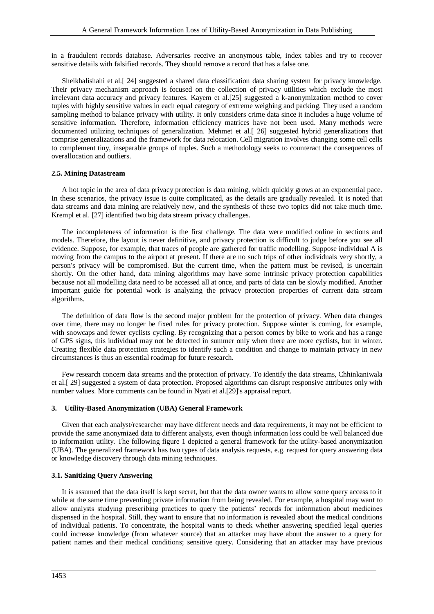in a fraudulent records database. Adversaries receive an anonymous table, index tables and try to recover sensitive details with falsified records. They should remove a record that has a false one.

Sheikhalishahi et al.[ 24] suggested a shared data classification data sharing system for privacy knowledge. Their privacy mechanism approach is focused on the collection of privacy utilities which exclude the most irrelevant data accuracy and privacy features. Kayem et al.[25] suggested a k-anonymization method to cover tuples with highly sensitive values in each equal category of extreme weighing and packing. They used a random sampling method to balance privacy with utility. It only considers crime data since it includes a huge volume of sensitive information. Therefore, information efficiency matrices have not been used. Many methods were documented utilizing techniques of generalization. Mehmet et al.[ 26] suggested hybrid generalizations that comprise generalizations and the framework for data relocation. Cell migration involves changing some cell cells to complement tiny, inseparable groups of tuples. Such a methodology seeks to counteract the consequences of overallocation and outliers.

#### **2.5. Mining Datastream**

A hot topic in the area of data privacy protection is data mining, which quickly grows at an exponential pace. In these scenarios, the privacy issue is quite complicated, as the details are gradually revealed. It is noted that data streams and data mining are relatively new, and the synthesis of these two topics did not take much time. Krempl et al. [27] identified two big data stream privacy challenges.

The incompleteness of information is the first challenge. The data were modified online in sections and models. Therefore, the layout is never definitive, and privacy protection is difficult to judge before you see all evidence. Suppose, for example, that traces of people are gathered for traffic modelling. Suppose individual A is moving from the campus to the airport at present. If there are no such trips of other individuals very shortly, a person's privacy will be compromised. But the current time, when the pattern must be revised, is uncertain shortly. On the other hand, data mining algorithms may have some intrinsic privacy protection capabilities because not all modelling data need to be accessed all at once, and parts of data can be slowly modified. Another important guide for potential work is analyzing the privacy protection properties of current data stream algorithms.

The definition of data flow is the second major problem for the protection of privacy. When data changes over time, there may no longer be fixed rules for privacy protection. Suppose winter is coming, for example, with snowcaps and fewer cyclists cycling. By recognizing that a person comes by bike to work and has a range of GPS signs, this individual may not be detected in summer only when there are more cyclists, but in winter. Creating flexible data protection strategies to identify such a condition and change to maintain privacy in new circumstances is thus an essential roadmap for future research.

Few research concern data streams and the protection of privacy. To identify the data streams, Chhinkaniwala et al.[ 29] suggested a system of data protection. Proposed algorithms can disrupt responsive attributes only with number values. More comments can be found in Nyati et al.[29]'s appraisal report.

### **3. Utility-Based Anonymization (UBA) General Framework**

Given that each analyst/researcher may have different needs and data requirements, it may not be efficient to provide the same anonymized data to different analysts, even though information loss could be well balanced due to information utility. The following figure 1 depicted a general framework for the utility-based anonymization (UBA). The generalized framework has two types of data analysis requests, e.g. request for query answering data or knowledge discovery through data mining techniques.

#### **3.1. Sanitizing Query Answering**

It is assumed that the data itself is kept secret, but that the data owner wants to allow some query access to it while at the same time preventing private information from being revealed. For example, a hospital may want to allow analysts studying prescribing practices to query the patients' records for information about medicines dispensed in the hospital. Still, they want to ensure that no information is revealed about the medical conditions of individual patients. To concentrate, the hospital wants to check whether answering specified legal queries could increase knowledge (from whatever source) that an attacker may have about the answer to a query for patient names and their medical conditions; sensitive query. Considering that an attacker may have previous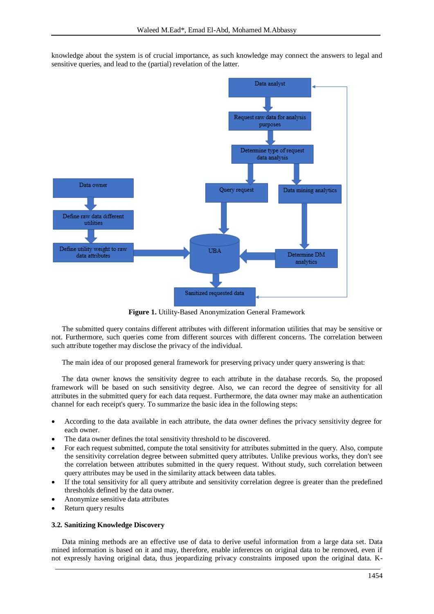knowledge about the system is of crucial importance, as such knowledge may connect the answers to legal and sensitive queries, and lead to the (partial) revelation of the latter.



**Figure 1.** Utility-Based Anonymization General Framework

The submitted query contains different attributes with different information utilities that may be sensitive or not. Furthermore, such queries come from different sources with different concerns. The correlation between such attribute together may disclose the privacy of the individual.

The main idea of our proposed general framework for preserving privacy under query answering is that:

The data owner knows the sensitivity degree to each attribute in the database records. So, the proposed framework will be based on such sensitivity degree. Also, we can record the degree of sensitivity for all attributes in the submitted query for each data request. Furthermore, the data owner may make an authentication channel for each receipt's query. To summarize the basic idea in the following steps:

- According to the data available in each attribute, the data owner defines the privacy sensitivity degree for each owner.
- The data owner defines the total sensitivity threshold to be discovered.
- For each request submitted, compute the total sensitivity for attributes submitted in the query. Also, compute the sensitivity correlation degree between submitted query attributes. Unlike previous works, they don't see the correlation between attributes submitted in the query request. Without study, such correlation between query attributes may be used in the similarity attack between data tables.
- If the total sensitivity for all query attribute and sensitivity correlation degree is greater than the predefined thresholds defined by the data owner.
- Anonymize sensitive data attributes
- Return query results

#### **3.2. Sanitizing Knowledge Discovery**

Data mining methods are an effective use of data to derive useful information from a large data set. Data mined information is based on it and may, therefore, enable inferences on original data to be removed, even if not expressly having original data, thus jeopardizing privacy constraints imposed upon the original data. K-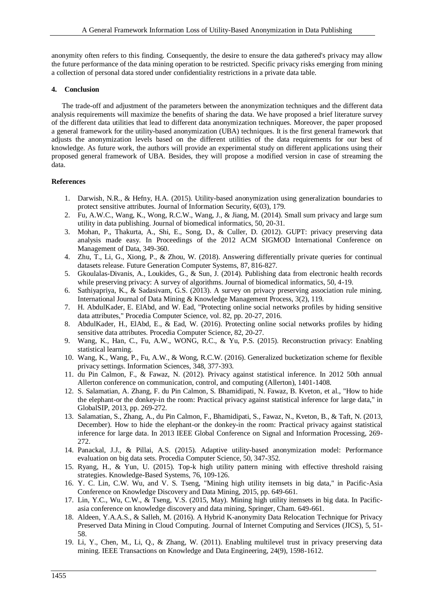anonymity often refers to this finding. Consequently, the desire to ensure the data gathered's privacy may allow the future performance of the data mining operation to be restricted. Specific privacy risks emerging from mining a collection of personal data stored under confidentiality restrictions in a private data table.

#### **4. Conclusion**

The trade-off and adjustment of the parameters between the anonymization techniques and the different data analysis requirements will maximize the benefits of sharing the data. We have proposed a brief literature survey of the different data utilities that lead to different data anonymization techniques. Moreover, the paper proposed a general framework for the utility-based anonymization (UBA) techniques. It is the first general framework that adjusts the anonymization levels based on the different utilities of the data requirements for our best of knowledge. As future work, the authors will provide an experimental study on different applications using their proposed general framework of UBA. Besides, they will propose a modified version in case of streaming the data.

#### **References**

- 1. Darwish, N.R., & Hefny, H.A. (2015). Utility-based anonymization using generalization boundaries to protect sensitive attributes. Journal of Information Security, 6(03), 179.
- 2. Fu, A.W.C., Wang, K., Wong, R.C.W., Wang, J., & Jiang, M. (2014). Small sum privacy and large sum utility in data publishing. Journal of biomedical informatics, 50, 20-31.
- 3. Mohan, P., Thakurta, A., Shi, E., Song, D., & Culler, D. (2012). GUPT: privacy preserving data analysis made easy. In Proceedings of the 2012 ACM SIGMOD International Conference on Management of Data, 349-360.
- 4. Zhu, T., Li, G., Xiong, P., & Zhou, W. (2018). Answering differentially private queries for continual datasets release. Future Generation Computer Systems, 87, 816-827.
- 5. Gkoulalas-Divanis, A., Loukides, G., & Sun, J. (2014). Publishing data from electronic health records while preserving privacy: A survey of algorithms. Journal of biomedical informatics, 50, 4-19.
- 6. Sathiyapriya, K., & Sadasivam, G.S. (2013). A survey on privacy preserving association rule mining. International Journal of Data Mining & Knowledge Management Process, 3(2), 119.
- 7. H. AbdulKader, E. ElAbd, and W. Ead, "Protecting online social networks profiles by hiding sensitive data attributes," Procedia Computer Science, vol. 82, pp. 20-27, 2016.
- 8. AbdulKader, H., ElAbd, E., & Ead, W. (2016). Protecting online social networks profiles by hiding sensitive data attributes. Procedia Computer Science, 82, 20-27.
- 9. Wang, K., Han, C., Fu, A.W., WONG, R.C., & Yu, P.S. (2015). Reconstruction privacy: Enabling statistical learning.
- 10. Wang, K., Wang, P., Fu, A.W., & Wong, R.C.W. (2016). Generalized bucketization scheme for flexible privacy settings. Information Sciences, 348, 377-393.
- 11. du Pin Calmon, F., & Fawaz, N. (2012). Privacy against statistical inference. In 2012 50th annual Allerton conference on communication, control, and computing (Allerton), 1401-1408.
- 12. S. Salamatian, A. Zhang, F. du Pin Calmon, S. Bhamidipati, N. Fawaz, B. Kveton, et al., "How to hide the elephant-or the donkey-in the room: Practical privacy against statistical inference for large data," in GlobalSIP, 2013, pp. 269-272.
- 13. Salamatian, S., Zhang, A., du Pin Calmon, F., Bhamidipati, S., Fawaz, N., Kveton, B., & Taft, N. (2013, December). How to hide the elephant-or the donkey-in the room: Practical privacy against statistical inference for large data. In 2013 IEEE Global Conference on Signal and Information Processing, 269- 272.
- 14. Panackal, J.J., & Pillai, A.S. (2015). Adaptive utility-based anonymization model: Performance evaluation on big data sets. Procedia Computer Science, 50, 347-352.
- 15. Ryang, H., & Yun, U. (2015). Top-k high utility pattern mining with effective threshold raising strategies. Knowledge-Based Systems, 76, 109-126.
- 16. Y. C. Lin, C.W. Wu, and V. S. Tseng, "Mining high utility itemsets in big data," in Pacific-Asia Conference on Knowledge Discovery and Data Mining, 2015, pp. 649-661.
- 17. Lin, Y.C., Wu, C.W., & Tseng, V.S. (2015, May). Mining high utility itemsets in big data. In Pacificasia conference on knowledge discovery and data mining, Springer, Cham. 649-661.
- 18. Aldeen, Y.A.A.S., & Salleh, M. (2016). A Hybrid K-anonymity Data Relocation Technique for Privacy Preserved Data Mining in Cloud Computing. Journal of Internet Computing and Services (JICS), 5, 51- 58.
- 19. Li, Y., Chen, M., Li, Q., & Zhang, W. (2011). Enabling multilevel trust in privacy preserving data mining. IEEE Transactions on Knowledge and Data Engineering, 24(9), 1598-1612.